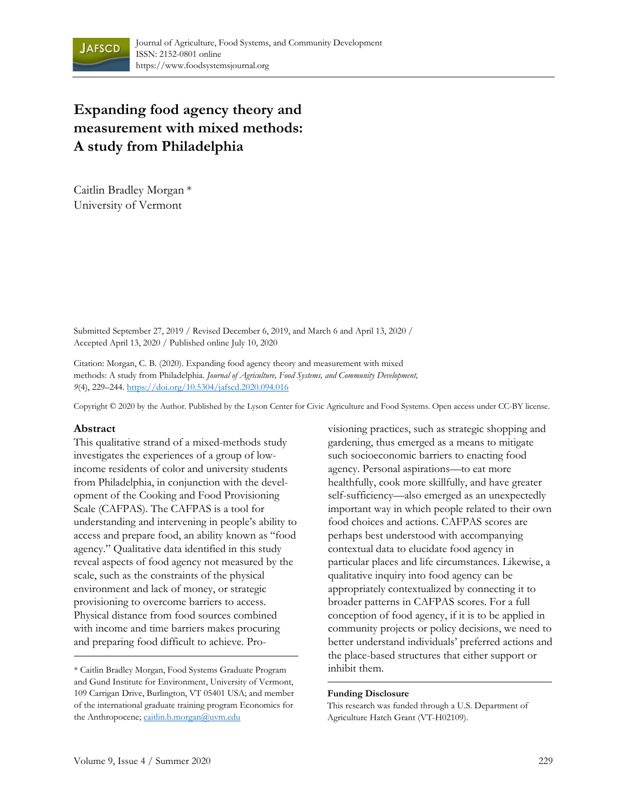

# **Expanding food agency theory and measurement with mixed methods: A study from Philadelphia**

Caitlin Bradley Morgan \* University of Vermont

Submitted September 27, 2019 / Revised December 6, 2019, and March 6 and April 13, 2020 / Accepted April 13, 2020 / Published online July 10, 2020

Citation: Morgan, C. B. (2020). Expanding food agency theory and measurement with mixed methods: A study from Philadelphia. *Journal of Agriculture, Food Systems, and Community Development, 9*(4), 229–244. https://doi.org/10.5304/jafscd.2020.094.016

Copyright © 2020 by the Author. Published by the Lyson Center for Civic Agriculture and Food Systems. Open access under CC-BY license.

#### **Abstract**

This qualitative strand of a mixed-methods study investigates the experiences of a group of lowincome residents of color and university students from Philadelphia, in conjunction with the development of the Cooking and Food Provisioning Scale (CAFPAS). The CAFPAS is a tool for understanding and intervening in people's ability to access and prepare food, an ability known as "food agency." Qualitative data identified in this study reveal aspects of food agency not measured by the scale, such as the constraints of the physical environment and lack of money, or strategic provisioning to overcome barriers to access. Physical distance from food sources combined with income and time barriers makes procuring and preparing food difficult to achieve. Provisioning practices, such as strategic shopping and gardening, thus emerged as a means to mitigate such socioeconomic barriers to enacting food agency. Personal aspirations—to eat more healthfully, cook more skillfully, and have greater self-sufficiency—also emerged as an unexpectedly important way in which people related to their own food choices and actions. CAFPAS scores are perhaps best understood with accompanying contextual data to elucidate food agency in particular places and life circumstances. Likewise, a qualitative inquiry into food agency can be appropriately contextualized by connecting it to broader patterns in CAFPAS scores. For a full conception of food agency, if it is to be applied in community projects or policy decisions, we need to better understand individuals' preferred actions and the place-based structures that either support or

#### **Funding Disclosure**

This research was funded through a U.S. Department of Agriculture Hatch Grant (VT-H02109).

<sup>\*</sup> Caitlin Bradley Morgan, Food Systems Graduate Program inhibit them. and Gund Institute for Environment, University of Vermont, 109 Carrigan Drive, Burlington, VT 05401 USA; and member of the international graduate training program Economics for the Anthropocene; caitlin.b.morgan@uvm.edu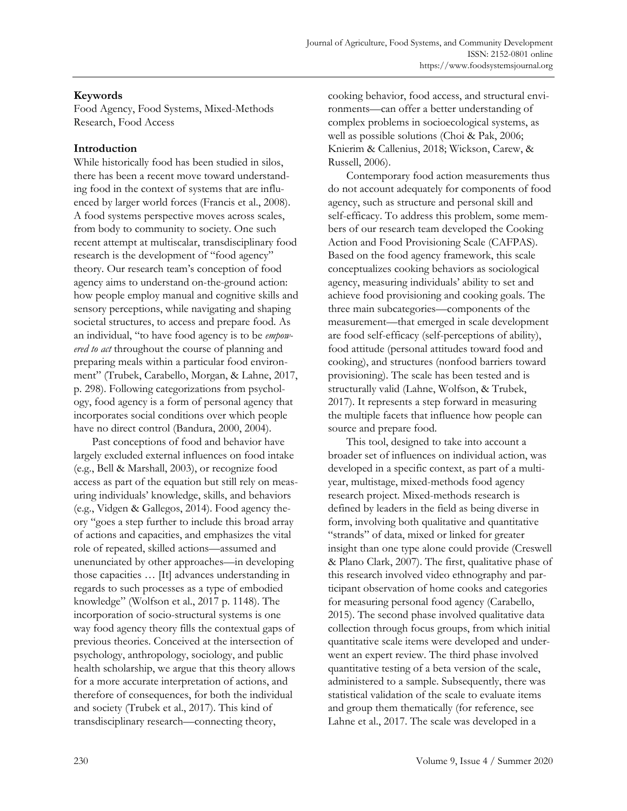# **Keywords**

Food Agency, Food Systems, Mixed-Methods Research, Food Access

# **Introduction**

While historically food has been studied in silos, there has been a recent move toward understanding food in the context of systems that are influenced by larger world forces (Francis et al., 2008). A food systems perspective moves across scales, from body to community to society. One such recent attempt at multiscalar, transdisciplinary food research is the development of "food agency" theory. Our research team's conception of food agency aims to understand on-the-ground action: how people employ manual and cognitive skills and sensory perceptions, while navigating and shaping societal structures, to access and prepare food. As an individual, "to have food agency is to be *empowered to act* throughout the course of planning and preparing meals within a particular food environment" (Trubek, Carabello, Morgan, & Lahne, 2017, p. 298). Following categorizations from psychology, food agency is a form of personal agency that incorporates social conditions over which people have no direct control (Bandura, 2000, 2004).

 Past conceptions of food and behavior have largely excluded external influences on food intake (e.g., Bell & Marshall, 2003), or recognize food access as part of the equation but still rely on measuring individuals' knowledge, skills, and behaviors (e.g., Vidgen & Gallegos, 2014). Food agency theory "goes a step further to include this broad array of actions and capacities, and emphasizes the vital role of repeated, skilled actions—assumed and unenunciated by other approaches—in developing those capacities … [It] advances understanding in regards to such processes as a type of embodied knowledge" (Wolfson et al., 2017 p. 1148). The incorporation of socio-structural systems is one way food agency theory fills the contextual gaps of previous theories. Conceived at the intersection of psychology, anthropology, sociology, and public health scholarship, we argue that this theory allows for a more accurate interpretation of actions, and therefore of consequences, for both the individual and society (Trubek et al., 2017). This kind of transdisciplinary research—connecting theory,

cooking behavior, food access, and structural environments—can offer a better understanding of complex problems in socioecological systems, as well as possible solutions (Choi & Pak, 2006; Knierim & Callenius, 2018; Wickson, Carew, & Russell, 2006).

 Contemporary food action measurements thus do not account adequately for components of food agency, such as structure and personal skill and self-efficacy. To address this problem, some members of our research team developed the Cooking Action and Food Provisioning Scale (CAFPAS). Based on the food agency framework, this scale conceptualizes cooking behaviors as sociological agency, measuring individuals' ability to set and achieve food provisioning and cooking goals. The three main subcategories—components of the measurement—that emerged in scale development are food self-efficacy (self-perceptions of ability), food attitude (personal attitudes toward food and cooking), and structures (nonfood barriers toward provisioning). The scale has been tested and is structurally valid (Lahne, Wolfson, & Trubek, 2017). It represents a step forward in measuring the multiple facets that influence how people can source and prepare food.

 This tool, designed to take into account a broader set of influences on individual action, was developed in a specific context, as part of a multiyear, multistage, mixed-methods food agency research project. Mixed-methods research is defined by leaders in the field as being diverse in form, involving both qualitative and quantitative "strands" of data, mixed or linked for greater insight than one type alone could provide (Creswell & Plano Clark, 2007). The first, qualitative phase of this research involved video ethnography and participant observation of home cooks and categories for measuring personal food agency (Carabello, 2015). The second phase involved qualitative data collection through focus groups, from which initial quantitative scale items were developed and underwent an expert review. The third phase involved quantitative testing of a beta version of the scale, administered to a sample. Subsequently, there was statistical validation of the scale to evaluate items and group them thematically (for reference, see Lahne et al., 2017. The scale was developed in a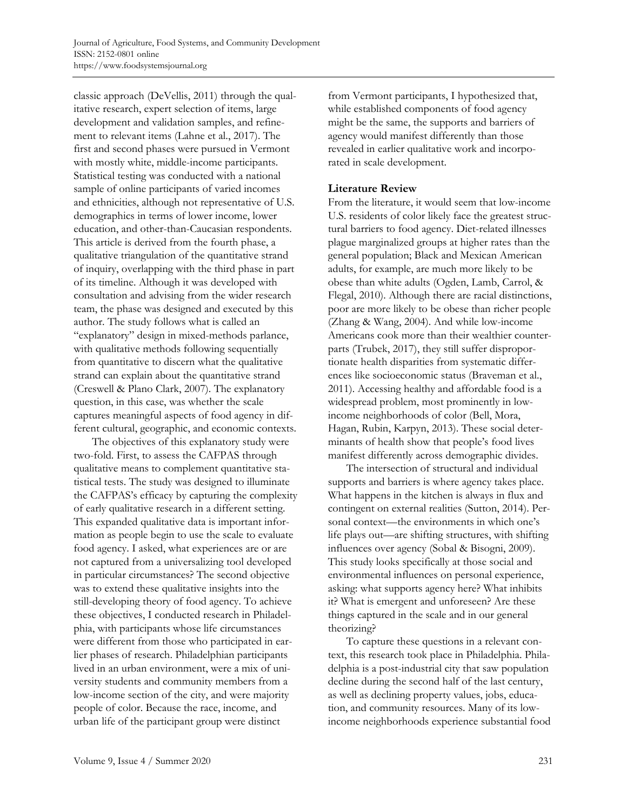classic approach (DeVellis, 2011) through the qualitative research, expert selection of items, large development and validation samples, and refinement to relevant items (Lahne et al., 2017). The first and second phases were pursued in Vermont with mostly white, middle-income participants. Statistical testing was conducted with a national sample of online participants of varied incomes and ethnicities, although not representative of U.S. demographics in terms of lower income, lower education, and other-than-Caucasian respondents. This article is derived from the fourth phase, a qualitative triangulation of the quantitative strand of inquiry, overlapping with the third phase in part of its timeline. Although it was developed with consultation and advising from the wider research team, the phase was designed and executed by this author. The study follows what is called an "explanatory" design in mixed-methods parlance, with qualitative methods following sequentially from quantitative to discern what the qualitative strand can explain about the quantitative strand (Creswell & Plano Clark, 2007). The explanatory question, in this case, was whether the scale captures meaningful aspects of food agency in different cultural, geographic, and economic contexts.

 The objectives of this explanatory study were two-fold. First, to assess the CAFPAS through qualitative means to complement quantitative statistical tests. The study was designed to illuminate the CAFPAS's efficacy by capturing the complexity of early qualitative research in a different setting. This expanded qualitative data is important information as people begin to use the scale to evaluate food agency. I asked, what experiences are or are not captured from a universalizing tool developed in particular circumstances? The second objective was to extend these qualitative insights into the still-developing theory of food agency. To achieve these objectives, I conducted research in Philadelphia, with participants whose life circumstances were different from those who participated in earlier phases of research. Philadelphian participants lived in an urban environment, were a mix of university students and community members from a low-income section of the city, and were majority people of color. Because the race, income, and urban life of the participant group were distinct

from Vermont participants, I hypothesized that, while established components of food agency might be the same, the supports and barriers of agency would manifest differently than those revealed in earlier qualitative work and incorporated in scale development.

## **Literature Review**

From the literature, it would seem that low-income U.S. residents of color likely face the greatest structural barriers to food agency. Diet-related illnesses plague marginalized groups at higher rates than the general population; Black and Mexican American adults, for example, are much more likely to be obese than white adults (Ogden, Lamb, Carrol, & Flegal, 2010). Although there are racial distinctions, poor are more likely to be obese than richer people (Zhang & Wang, 2004). And while low-income Americans cook more than their wealthier counterparts (Trubek, 2017), they still suffer disproportionate health disparities from systematic differences like socioeconomic status (Braveman et al., 2011). Accessing healthy and affordable food is a widespread problem, most prominently in lowincome neighborhoods of color (Bell, Mora, Hagan, Rubin, Karpyn, 2013). These social determinants of health show that people's food lives manifest differently across demographic divides.

 The intersection of structural and individual supports and barriers is where agency takes place. What happens in the kitchen is always in flux and contingent on external realities (Sutton, 2014). Personal context—the environments in which one's life plays out—are shifting structures, with shifting influences over agency (Sobal & Bisogni, 2009). This study looks specifically at those social and environmental influences on personal experience, asking: what supports agency here? What inhibits it? What is emergent and unforeseen? Are these things captured in the scale and in our general theorizing?

 To capture these questions in a relevant context, this research took place in Philadelphia. Philadelphia is a post-industrial city that saw population decline during the second half of the last century, as well as declining property values, jobs, education, and community resources. Many of its lowincome neighborhoods experience substantial food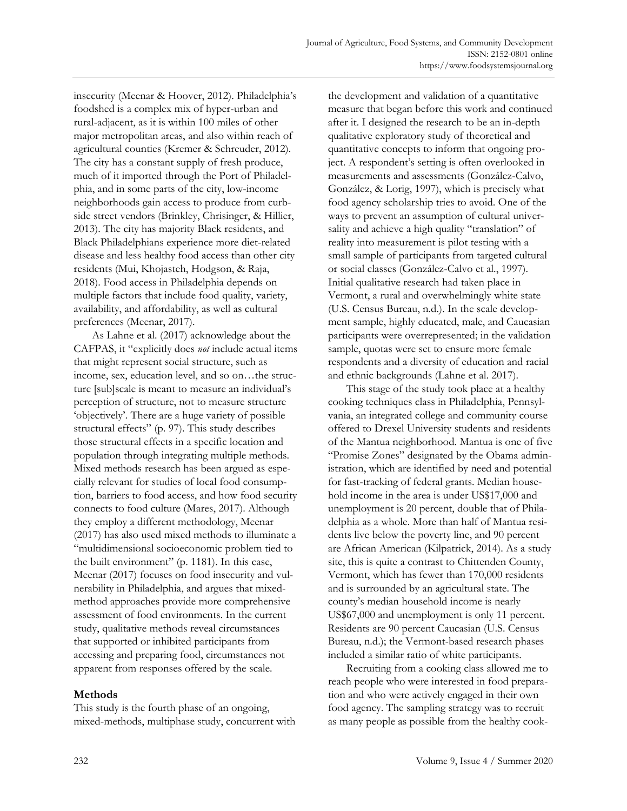insecurity (Meenar & Hoover, 2012). Philadelphia's foodshed is a complex mix of hyper-urban and rural-adjacent, as it is within 100 miles of other major metropolitan areas, and also within reach of agricultural counties (Kremer & Schreuder, 2012). The city has a constant supply of fresh produce, much of it imported through the Port of Philadelphia, and in some parts of the city, low-income neighborhoods gain access to produce from curbside street vendors (Brinkley, Chrisinger, & Hillier, 2013). The city has majority Black residents, and Black Philadelphians experience more diet-related disease and less healthy food access than other city residents (Mui, Khojasteh, Hodgson, & Raja, 2018). Food access in Philadelphia depends on multiple factors that include food quality, variety, availability, and affordability, as well as cultural preferences (Meenar, 2017).

 As Lahne et al. (2017) acknowledge about the CAFPAS, it "explicitly does *not* include actual items that might represent social structure, such as income, sex, education level, and so on…the structure [sub]scale is meant to measure an individual's perception of structure, not to measure structure 'objectively'. There are a huge variety of possible structural effects" (p. 97). This study describes those structural effects in a specific location and population through integrating multiple methods. Mixed methods research has been argued as especially relevant for studies of local food consumption, barriers to food access, and how food security connects to food culture (Mares, 2017). Although they employ a different methodology, Meenar (2017) has also used mixed methods to illuminate a "multidimensional socioeconomic problem tied to the built environment" (p. 1181). In this case, Meenar (2017) focuses on food insecurity and vulnerability in Philadelphia, and argues that mixedmethod approaches provide more comprehensive assessment of food environments. In the current study, qualitative methods reveal circumstances that supported or inhibited participants from accessing and preparing food, circumstances not apparent from responses offered by the scale.

#### **Methods**

This study is the fourth phase of an ongoing, mixed-methods, multiphase study, concurrent with the development and validation of a quantitative measure that began before this work and continued after it. I designed the research to be an in-depth qualitative exploratory study of theoretical and quantitative concepts to inform that ongoing project. A respondent's setting is often overlooked in measurements and assessments (González-Calvo, González, & Lorig, 1997), which is precisely what food agency scholarship tries to avoid. One of the ways to prevent an assumption of cultural universality and achieve a high quality "translation" of reality into measurement is pilot testing with a small sample of participants from targeted cultural or social classes (González-Calvo et al., 1997). Initial qualitative research had taken place in Vermont, a rural and overwhelmingly white state (U.S. Census Bureau, n.d.). In the scale development sample, highly educated, male, and Caucasian participants were overrepresented; in the validation sample, quotas were set to ensure more female respondents and a diversity of education and racial and ethnic backgrounds (Lahne et al. 2017).

 This stage of the study took place at a healthy cooking techniques class in Philadelphia, Pennsylvania, an integrated college and community course offered to Drexel University students and residents of the Mantua neighborhood. Mantua is one of five "Promise Zones" designated by the Obama administration, which are identified by need and potential for fast-tracking of federal grants. Median household income in the area is under US\$17,000 and unemployment is 20 percent, double that of Philadelphia as a whole. More than half of Mantua residents live below the poverty line, and 90 percent are African American (Kilpatrick, 2014). As a study site, this is quite a contrast to Chittenden County, Vermont, which has fewer than 170,000 residents and is surrounded by an agricultural state. The county's median household income is nearly US\$67,000 and unemployment is only 11 percent. Residents are 90 percent Caucasian (U.S. Census Bureau, n.d.); the Vermont-based research phases included a similar ratio of white participants.

 Recruiting from a cooking class allowed me to reach people who were interested in food preparation and who were actively engaged in their own food agency. The sampling strategy was to recruit as many people as possible from the healthy cook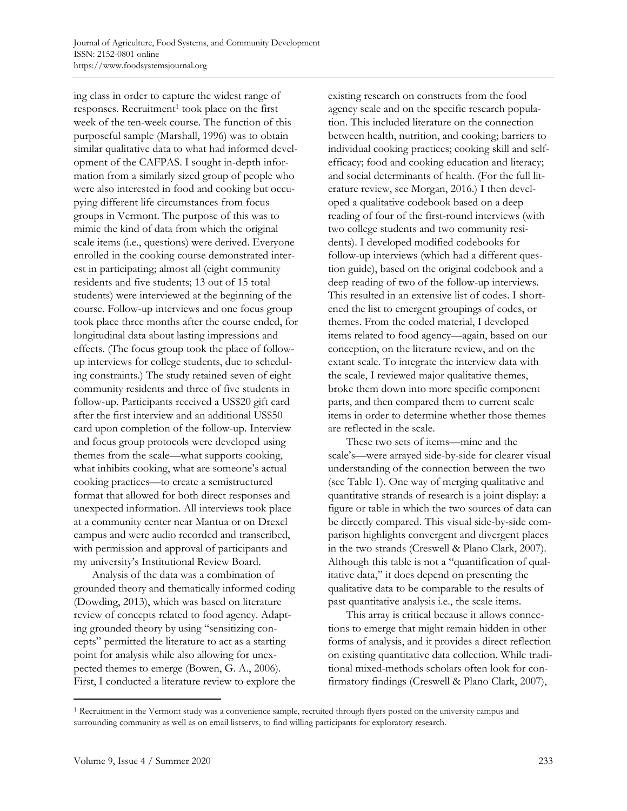ing class in order to capture the widest range of responses. Recruitment<sup>1</sup> took place on the first week of the ten-week course. The function of this purposeful sample (Marshall, 1996) was to obtain similar qualitative data to what had informed development of the CAFPAS. I sought in-depth information from a similarly sized group of people who were also interested in food and cooking but occupying different life circumstances from focus groups in Vermont. The purpose of this was to mimic the kind of data from which the original scale items (i.e., questions) were derived. Everyone enrolled in the cooking course demonstrated interest in participating; almost all (eight community residents and five students; 13 out of 15 total students) were interviewed at the beginning of the course. Follow-up interviews and one focus group took place three months after the course ended, for longitudinal data about lasting impressions and effects. (The focus group took the place of followup interviews for college students, due to scheduling constraints.) The study retained seven of eight community residents and three of five students in follow-up. Participants received a US\$20 gift card after the first interview and an additional US\$50 card upon completion of the follow-up. Interview and focus group protocols were developed using themes from the scale—what supports cooking, what inhibits cooking, what are someone's actual cooking practices—to create a semistructured format that allowed for both direct responses and unexpected information. All interviews took place at a community center near Mantua or on Drexel campus and were audio recorded and transcribed, with permission and approval of participants and my university's Institutional Review Board.

 Analysis of the data was a combination of grounded theory and thematically informed coding (Dowding, 2013), which was based on literature review of concepts related to food agency. Adapting grounded theory by using "sensitizing concepts" permitted the literature to act as a starting point for analysis while also allowing for unexpected themes to emerge (Bowen, G. A., 2006). First, I conducted a literature review to explore the existing research on constructs from the food agency scale and on the specific research population. This included literature on the connection between health, nutrition, and cooking; barriers to individual cooking practices; cooking skill and selfefficacy; food and cooking education and literacy; and social determinants of health. (For the full literature review, see Morgan, 2016.) I then developed a qualitative codebook based on a deep reading of four of the first-round interviews (with two college students and two community residents). I developed modified codebooks for follow-up interviews (which had a different question guide), based on the original codebook and a deep reading of two of the follow-up interviews. This resulted in an extensive list of codes. I shortened the list to emergent groupings of codes, or themes. From the coded material, I developed items related to food agency—again, based on our conception, on the literature review, and on the extant scale. To integrate the interview data with the scale, I reviewed major qualitative themes, broke them down into more specific component parts, and then compared them to current scale items in order to determine whether those themes are reflected in the scale.

 These two sets of items—mine and the scale's—were arrayed side-by-side for clearer visual understanding of the connection between the two (see Table 1). One way of merging qualitative and quantitative strands of research is a joint display: a figure or table in which the two sources of data can be directly compared. This visual side-by-side comparison highlights convergent and divergent places in the two strands (Creswell & Plano Clark, 2007). Although this table is not a "quantification of qualitative data," it does depend on presenting the qualitative data to be comparable to the results of past quantitative analysis i.e., the scale items.

 This array is critical because it allows connections to emerge that might remain hidden in other forms of analysis, and it provides a direct reflection on existing quantitative data collection. While traditional mixed-methods scholars often look for confirmatory findings (Creswell & Plano Clark, 2007),

<sup>1</sup> Recruitment in the Vermont study was a convenience sample, recruited through flyers posted on the university campus and surrounding community as well as on email listservs, to find willing participants for exploratory research.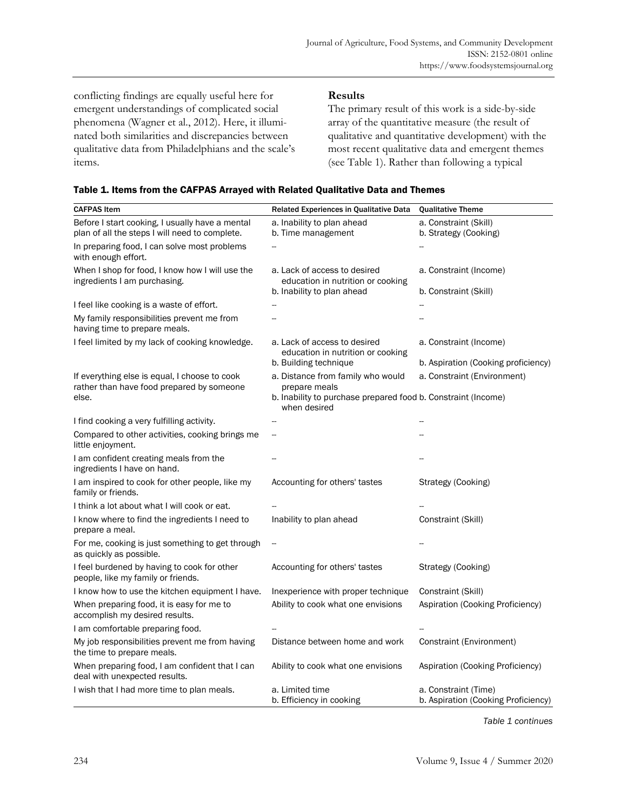conflicting findings are equally useful here for emergent understandings of complicated social phenomena (Wagner et al., 2012). Here, it illuminated both similarities and discrepancies between qualitative data from Philadelphians and the scale's items.

## **Results**

The primary result of this work is a side-by-side array of the quantitative measure (the result of qualitative and quantitative development) with the most recent qualitative data and emergent themes (see Table 1). Rather than following a typical

| <b>CAFPAS Item</b>                                                                                | Related Experiences in Qualitative Data                                       | <b>Qualitative Theme</b>                                    |
|---------------------------------------------------------------------------------------------------|-------------------------------------------------------------------------------|-------------------------------------------------------------|
| Before I start cooking, I usually have a mental<br>plan of all the steps I will need to complete. | a. Inability to plan ahead<br>b. Time management                              | a. Constraint (Skill)<br>b. Strategy (Cooking)              |
| In preparing food, I can solve most problems<br>with enough effort.                               |                                                                               |                                                             |
| When I shop for food, I know how I will use the<br>ingredients I am purchasing.                   | a. Lack of access to desired<br>education in nutrition or cooking             | a. Constraint (Income)                                      |
|                                                                                                   | b. Inability to plan ahead                                                    | b. Constraint (Skill)                                       |
| I feel like cooking is a waste of effort.                                                         |                                                                               |                                                             |
| My family responsibilities prevent me from<br>having time to prepare meals.                       |                                                                               |                                                             |
| I feel limited by my lack of cooking knowledge.                                                   | a. Lack of access to desired<br>education in nutrition or cooking             | a. Constraint (Income)                                      |
|                                                                                                   | b. Building technique                                                         | b. Aspiration (Cooking proficiency)                         |
| If everything else is equal, I choose to cook<br>rather than have food prepared by someone        | a. Distance from family who would<br>prepare meals                            | a. Constraint (Environment)                                 |
| else.                                                                                             | b. Inability to purchase prepared food b. Constraint (Income)<br>when desired |                                                             |
| I find cooking a very fulfilling activity.                                                        | --                                                                            |                                                             |
| Compared to other activities, cooking brings me<br>little enjoyment.                              | --                                                                            |                                                             |
| I am confident creating meals from the<br>ingredients I have on hand.                             |                                                                               |                                                             |
| I am inspired to cook for other people, like my<br>family or friends.                             | Accounting for others' tastes                                                 | Strategy (Cooking)                                          |
| I think a lot about what I will cook or eat.                                                      |                                                                               |                                                             |
| I know where to find the ingredients I need to<br>prepare a meal.                                 | Inability to plan ahead                                                       | Constraint (Skill)                                          |
| For me, cooking is just something to get through<br>as quickly as possible.                       | $\overline{\phantom{a}}$                                                      |                                                             |
| I feel burdened by having to cook for other<br>people, like my family or friends.                 | Accounting for others' tastes                                                 | Strategy (Cooking)                                          |
| I know how to use the kitchen equipment I have.                                                   | Inexperience with proper technique                                            | Constraint (Skill)                                          |
| When preparing food, it is easy for me to<br>accomplish my desired results.                       | Ability to cook what one envisions                                            | Aspiration (Cooking Proficiency)                            |
| I am comfortable preparing food.                                                                  |                                                                               |                                                             |
| My job responsibilities prevent me from having<br>the time to prepare meals.                      | Distance between home and work                                                | Constraint (Environment)                                    |
| When preparing food, I am confident that I can<br>deal with unexpected results.                   | Ability to cook what one envisions                                            | Aspiration (Cooking Proficiency)                            |
| I wish that I had more time to plan meals.                                                        | a. Limited time<br>b. Efficiency in cooking                                   | a. Constraint (Time)<br>b. Aspiration (Cooking Proficiency) |

*Table 1 continues*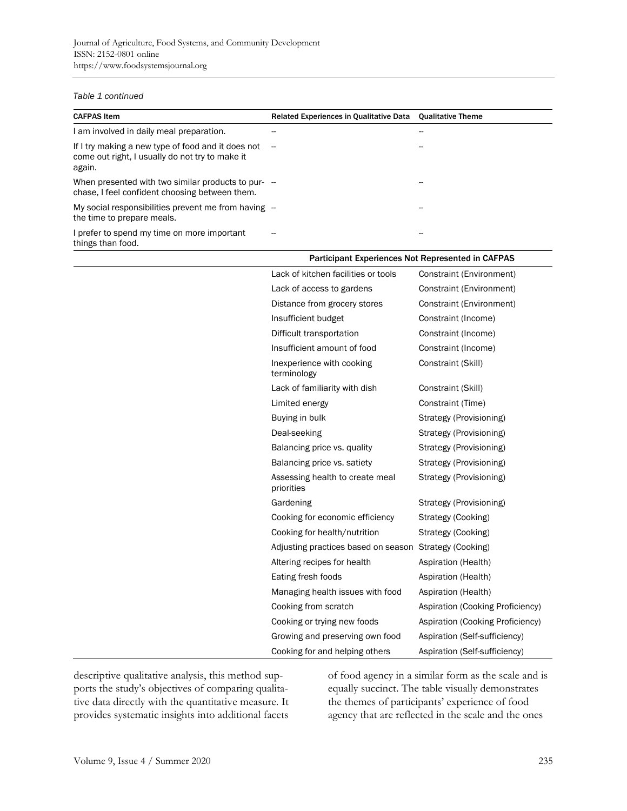#### *Table 1 continued*

| <b>CAFPAS Item</b>                                                                                              | Related Experiences in Qualitative Data Qualitative Theme |    |
|-----------------------------------------------------------------------------------------------------------------|-----------------------------------------------------------|----|
| I am involved in daily meal preparation.                                                                        |                                                           |    |
| If I try making a new type of food and it does not<br>come out right, I usually do not try to make it<br>again. | $\overline{\phantom{m}}$                                  |    |
| When presented with two similar products to pur-<br>chase. I feel confident choosing between them.              |                                                           |    |
| My social responsibilities prevent me from having -<br>the time to prepare meals.                               |                                                           |    |
| I prefer to spend my time on more important<br>things than food.                                                |                                                           | -- |

| Participant Experiences Not Represented in CAFPAS      |                                  |
|--------------------------------------------------------|----------------------------------|
| Lack of kitchen facilities or tools                    | Constraint (Environment)         |
| Lack of access to gardens                              | Constraint (Environment)         |
| Distance from grocery stores                           | Constraint (Environment)         |
| Insufficient budget                                    | Constraint (Income)              |
| Difficult transportation                               | Constraint (Income)              |
| Insufficient amount of food                            | Constraint (Income)              |
| Inexperience with cooking<br>terminology               | Constraint (Skill)               |
| Lack of familiarity with dish                          | Constraint (Skill)               |
| Limited energy                                         | Constraint (Time)                |
| Buying in bulk                                         | Strategy (Provisioning)          |
| Deal-seeking                                           | Strategy (Provisioning)          |
| Balancing price vs. quality                            | Strategy (Provisioning)          |
| Balancing price vs. satiety                            | Strategy (Provisioning)          |
| Assessing health to create meal<br>priorities          | Strategy (Provisioning)          |
| Gardening                                              | Strategy (Provisioning)          |
| Cooking for economic efficiency                        | Strategy (Cooking)               |
| Cooking for health/nutrition                           | Strategy (Cooking)               |
| Adjusting practices based on season Strategy (Cooking) |                                  |
| Altering recipes for health                            | Aspiration (Health)              |
| Eating fresh foods                                     | Aspiration (Health)              |
| Managing health issues with food                       | Aspiration (Health)              |
| Cooking from scratch                                   | Aspiration (Cooking Proficiency) |
| Cooking or trying new foods                            | Aspiration (Cooking Proficiency) |
| Growing and preserving own food                        | Aspiration (Self-sufficiency)    |
| Cooking for and helping others                         | Aspiration (Self-sufficiency)    |

descriptive qualitative analysis, this method supports the study's objectives of comparing qualitative data directly with the quantitative measure. It provides systematic insights into additional facets of food agency in a similar form as the scale and is equally succinct. The table visually demonstrates the themes of participants' experience of food agency that are reflected in the scale and the ones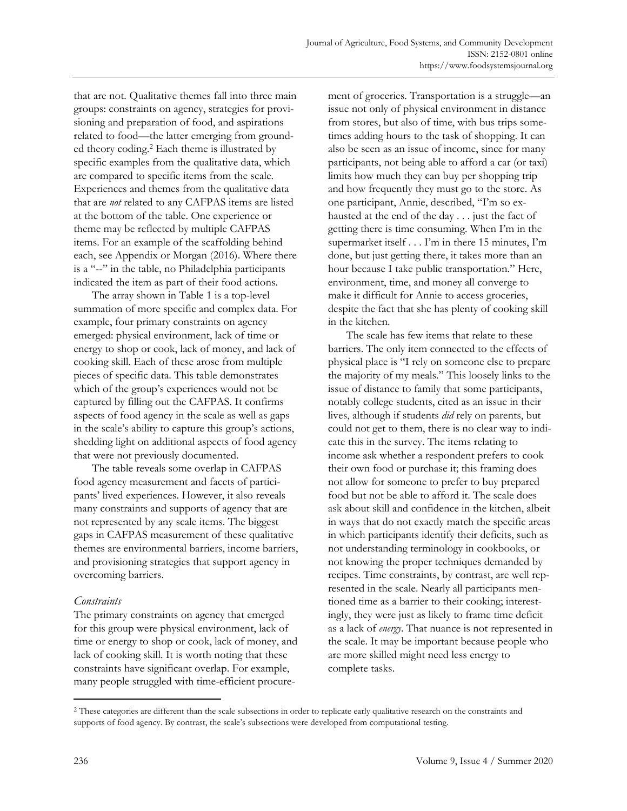that are not. Qualitative themes fall into three main groups: constraints on agency, strategies for provisioning and preparation of food, and aspirations related to food—the latter emerging from grounded theory coding.<sup>2</sup> Each theme is illustrated by specific examples from the qualitative data, which are compared to specific items from the scale. Experiences and themes from the qualitative data that are *not* related to any CAFPAS items are listed at the bottom of the table. One experience or theme may be reflected by multiple CAFPAS items. For an example of the scaffolding behind each, see Appendix or Morgan (2016). Where there is a "--" in the table, no Philadelphia participants indicated the item as part of their food actions.

 The array shown in Table 1 is a top-level summation of more specific and complex data. For example, four primary constraints on agency emerged: physical environment, lack of time or energy to shop or cook, lack of money, and lack of cooking skill. Each of these arose from multiple pieces of specific data. This table demonstrates which of the group's experiences would not be captured by filling out the CAFPAS. It confirms aspects of food agency in the scale as well as gaps in the scale's ability to capture this group's actions, shedding light on additional aspects of food agency that were not previously documented.

 The table reveals some overlap in CAFPAS food agency measurement and facets of participants' lived experiences. However, it also reveals many constraints and supports of agency that are not represented by any scale items. The biggest gaps in CAFPAS measurement of these qualitative themes are environmental barriers, income barriers, and provisioning strategies that support agency in overcoming barriers.

#### *Constraints*

The primary constraints on agency that emerged for this group were physical environment, lack of time or energy to shop or cook, lack of money, and lack of cooking skill. It is worth noting that these constraints have significant overlap. For example, many people struggled with time-efficient procurement of groceries. Transportation is a struggle—an issue not only of physical environment in distance from stores, but also of time, with bus trips sometimes adding hours to the task of shopping. It can also be seen as an issue of income, since for many participants, not being able to afford a car (or taxi) limits how much they can buy per shopping trip and how frequently they must go to the store. As one participant, Annie, described, "I'm so exhausted at the end of the day . . . just the fact of getting there is time consuming. When I'm in the supermarket itself . . . I'm in there 15 minutes, I'm done, but just getting there, it takes more than an hour because I take public transportation." Here, environment, time, and money all converge to make it difficult for Annie to access groceries, despite the fact that she has plenty of cooking skill in the kitchen.

 The scale has few items that relate to these barriers. The only item connected to the effects of physical place is "I rely on someone else to prepare the majority of my meals." This loosely links to the issue of distance to family that some participants, notably college students, cited as an issue in their lives, although if students *did* rely on parents, but could not get to them, there is no clear way to indicate this in the survey. The items relating to income ask whether a respondent prefers to cook their own food or purchase it; this framing does not allow for someone to prefer to buy prepared food but not be able to afford it. The scale does ask about skill and confidence in the kitchen, albeit in ways that do not exactly match the specific areas in which participants identify their deficits, such as not understanding terminology in cookbooks, or not knowing the proper techniques demanded by recipes. Time constraints, by contrast, are well represented in the scale. Nearly all participants mentioned time as a barrier to their cooking; interestingly, they were just as likely to frame time deficit as a lack of *energy*. That nuance is not represented in the scale. It may be important because people who are more skilled might need less energy to complete tasks.

<sup>&</sup>lt;sup>2</sup> These categories are different than the scale subsections in order to replicate early qualitative research on the constraints and supports of food agency. By contrast, the scale's subsections were developed from computational testing.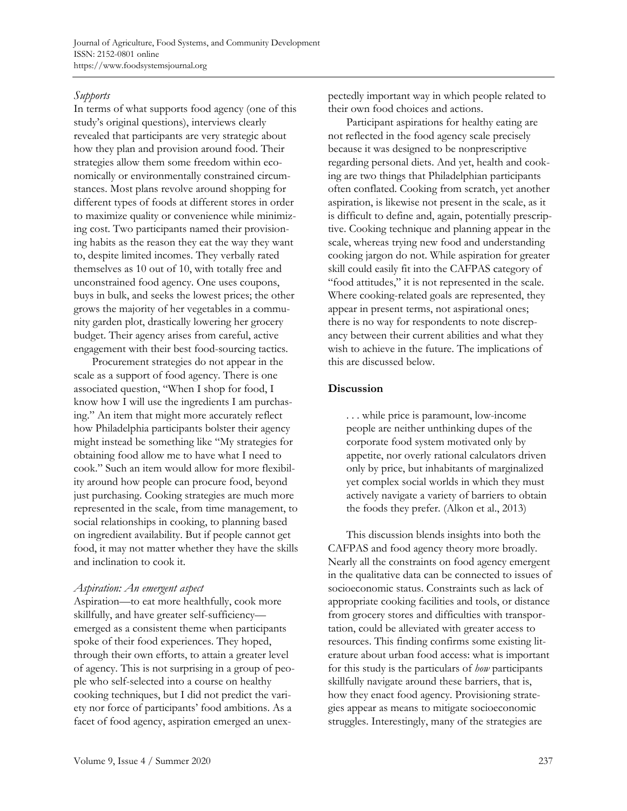#### *Supports*

In terms of what supports food agency (one of this study's original questions), interviews clearly revealed that participants are very strategic about how they plan and provision around food. Their strategies allow them some freedom within economically or environmentally constrained circumstances. Most plans revolve around shopping for different types of foods at different stores in order to maximize quality or convenience while minimizing cost. Two participants named their provisioning habits as the reason they eat the way they want to, despite limited incomes. They verbally rated themselves as 10 out of 10, with totally free and unconstrained food agency. One uses coupons, buys in bulk, and seeks the lowest prices; the other grows the majority of her vegetables in a community garden plot, drastically lowering her grocery budget. Their agency arises from careful, active engagement with their best food-sourcing tactics.

 Procurement strategies do not appear in the scale as a support of food agency. There is one associated question, "When I shop for food, I know how I will use the ingredients I am purchasing." An item that might more accurately reflect how Philadelphia participants bolster their agency might instead be something like "My strategies for obtaining food allow me to have what I need to cook." Such an item would allow for more flexibility around how people can procure food, beyond just purchasing. Cooking strategies are much more represented in the scale, from time management, to social relationships in cooking, to planning based on ingredient availability. But if people cannot get food, it may not matter whether they have the skills and inclination to cook it.

#### *Aspiration: An emergent aspect*

Aspiration—to eat more healthfully, cook more skillfully, and have greater self-sufficiency emerged as a consistent theme when participants spoke of their food experiences. They hoped, through their own efforts, to attain a greater level of agency. This is not surprising in a group of people who self-selected into a course on healthy cooking techniques, but I did not predict the variety nor force of participants' food ambitions. As a facet of food agency, aspiration emerged an unexpectedly important way in which people related to their own food choices and actions.

 Participant aspirations for healthy eating are not reflected in the food agency scale precisely because it was designed to be nonprescriptive regarding personal diets. And yet, health and cooking are two things that Philadelphian participants often conflated. Cooking from scratch, yet another aspiration, is likewise not present in the scale, as it is difficult to define and, again, potentially prescriptive. Cooking technique and planning appear in the scale, whereas trying new food and understanding cooking jargon do not. While aspiration for greater skill could easily fit into the CAFPAS category of "food attitudes," it is not represented in the scale. Where cooking-related goals are represented, they appear in present terms, not aspirational ones; there is no way for respondents to note discrepancy between their current abilities and what they wish to achieve in the future. The implications of this are discussed below.

# **Discussion**

. . . while price is paramount, low-income people are neither unthinking dupes of the corporate food system motivated only by appetite, nor overly rational calculators driven only by price, but inhabitants of marginalized yet complex social worlds in which they must actively navigate a variety of barriers to obtain the foods they prefer. (Alkon et al., 2013)

 This discussion blends insights into both the CAFPAS and food agency theory more broadly. Nearly all the constraints on food agency emergent in the qualitative data can be connected to issues of socioeconomic status. Constraints such as lack of appropriate cooking facilities and tools, or distance from grocery stores and difficulties with transportation, could be alleviated with greater access to resources. This finding confirms some existing literature about urban food access: what is important for this study is the particulars of *how* participants skillfully navigate around these barriers, that is, how they enact food agency. Provisioning strategies appear as means to mitigate socioeconomic struggles. Interestingly, many of the strategies are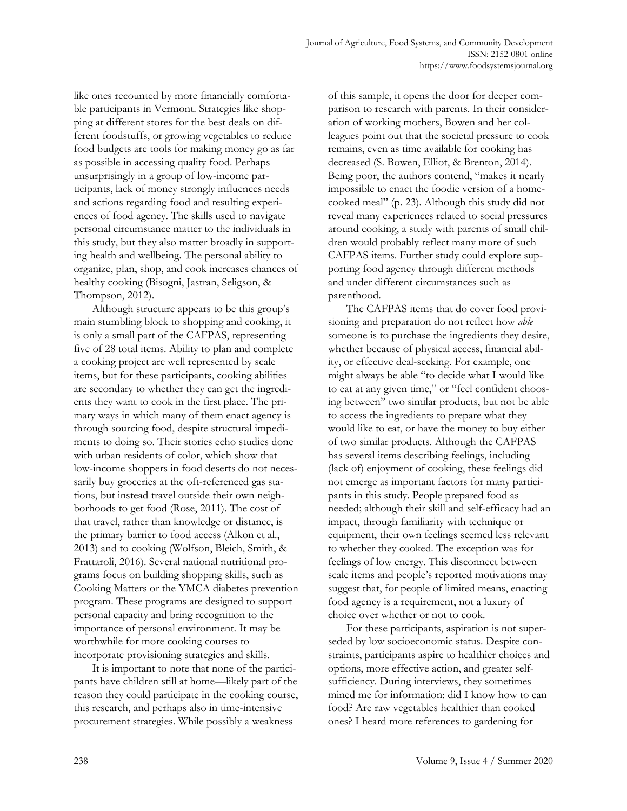like ones recounted by more financially comfortable participants in Vermont. Strategies like shopping at different stores for the best deals on different foodstuffs, or growing vegetables to reduce food budgets are tools for making money go as far as possible in accessing quality food. Perhaps unsurprisingly in a group of low-income participants, lack of money strongly influences needs and actions regarding food and resulting experiences of food agency. The skills used to navigate personal circumstance matter to the individuals in this study, but they also matter broadly in supporting health and wellbeing. The personal ability to organize, plan, shop, and cook increases chances of healthy cooking (Bisogni, Jastran, Seligson, & Thompson, 2012).

 Although structure appears to be this group's main stumbling block to shopping and cooking, it is only a small part of the CAFPAS, representing five of 28 total items. Ability to plan and complete a cooking project are well represented by scale items, but for these participants, cooking abilities are secondary to whether they can get the ingredients they want to cook in the first place. The primary ways in which many of them enact agency is through sourcing food, despite structural impediments to doing so. Their stories echo studies done with urban residents of color, which show that low-income shoppers in food deserts do not necessarily buy groceries at the oft-referenced gas stations, but instead travel outside their own neighborhoods to get food (Rose, 2011). The cost of that travel, rather than knowledge or distance, is the primary barrier to food access (Alkon et al., 2013) and to cooking (Wolfson, Bleich, Smith, & Frattaroli, 2016). Several national nutritional programs focus on building shopping skills, such as Cooking Matters or the YMCA diabetes prevention program. These programs are designed to support personal capacity and bring recognition to the importance of personal environment. It may be worthwhile for more cooking courses to incorporate provisioning strategies and skills.

 It is important to note that none of the participants have children still at home—likely part of the reason they could participate in the cooking course, this research, and perhaps also in time-intensive procurement strategies. While possibly a weakness

of this sample, it opens the door for deeper comparison to research with parents. In their consideration of working mothers, Bowen and her colleagues point out that the societal pressure to cook remains, even as time available for cooking has decreased (S. Bowen, Elliot, & Brenton, 2014). Being poor, the authors contend, "makes it nearly impossible to enact the foodie version of a homecooked meal" (p. 23). Although this study did not reveal many experiences related to social pressures around cooking, a study with parents of small children would probably reflect many more of such CAFPAS items. Further study could explore supporting food agency through different methods and under different circumstances such as parenthood.

 The CAFPAS items that do cover food provisioning and preparation do not reflect how *able* someone is to purchase the ingredients they desire, whether because of physical access, financial ability, or effective deal-seeking. For example, one might always be able "to decide what I would like to eat at any given time," or "feel confident choosing between" two similar products, but not be able to access the ingredients to prepare what they would like to eat, or have the money to buy either of two similar products. Although the CAFPAS has several items describing feelings, including (lack of) enjoyment of cooking, these feelings did not emerge as important factors for many participants in this study. People prepared food as needed; although their skill and self-efficacy had an impact, through familiarity with technique or equipment, their own feelings seemed less relevant to whether they cooked. The exception was for feelings of low energy. This disconnect between scale items and people's reported motivations may suggest that, for people of limited means, enacting food agency is a requirement, not a luxury of choice over whether or not to cook.

 For these participants, aspiration is not superseded by low socioeconomic status. Despite constraints, participants aspire to healthier choices and options, more effective action, and greater selfsufficiency. During interviews, they sometimes mined me for information: did I know how to can food? Are raw vegetables healthier than cooked ones? I heard more references to gardening for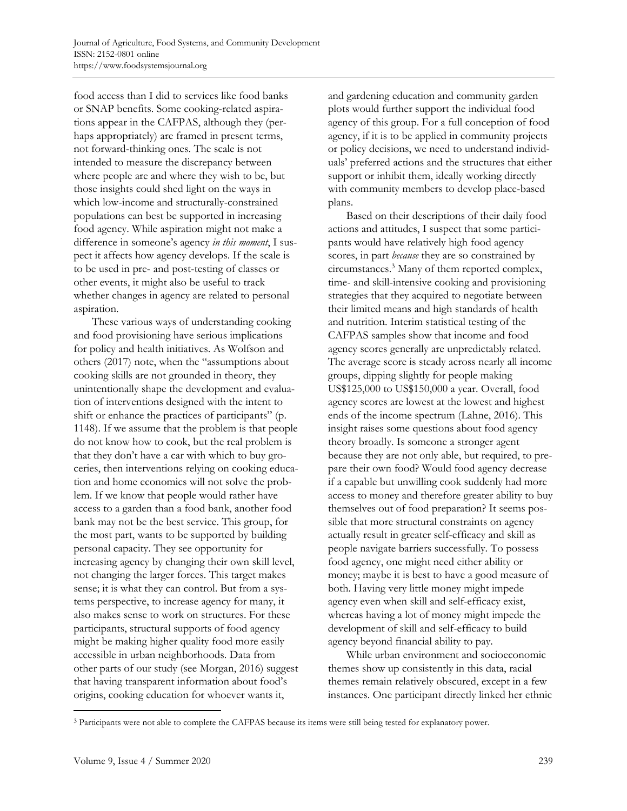food access than I did to services like food banks or SNAP benefits. Some cooking-related aspirations appear in the CAFPAS, although they (perhaps appropriately) are framed in present terms, not forward-thinking ones. The scale is not intended to measure the discrepancy between where people are and where they wish to be, but those insights could shed light on the ways in which low-income and structurally-constrained populations can best be supported in increasing food agency. While aspiration might not make a difference in someone's agency *in this moment*, I suspect it affects how agency develops. If the scale is to be used in pre- and post-testing of classes or other events, it might also be useful to track whether changes in agency are related to personal aspiration.

 These various ways of understanding cooking and food provisioning have serious implications for policy and health initiatives. As Wolfson and others (2017) note, when the "assumptions about cooking skills are not grounded in theory, they unintentionally shape the development and evaluation of interventions designed with the intent to shift or enhance the practices of participants" (p. 1148). If we assume that the problem is that people do not know how to cook, but the real problem is that they don't have a car with which to buy groceries, then interventions relying on cooking education and home economics will not solve the problem. If we know that people would rather have access to a garden than a food bank, another food bank may not be the best service. This group, for the most part, wants to be supported by building personal capacity. They see opportunity for increasing agency by changing their own skill level, not changing the larger forces. This target makes sense; it is what they can control. But from a systems perspective, to increase agency for many, it also makes sense to work on structures. For these participants, structural supports of food agency might be making higher quality food more easily accessible in urban neighborhoods. Data from other parts of our study (see Morgan, 2016) suggest that having transparent information about food's origins, cooking education for whoever wants it,

and gardening education and community garden plots would further support the individual food agency of this group. For a full conception of food agency, if it is to be applied in community projects or policy decisions, we need to understand individuals' preferred actions and the structures that either support or inhibit them, ideally working directly with community members to develop place-based plans.

 Based on their descriptions of their daily food actions and attitudes, I suspect that some participants would have relatively high food agency scores, in part *because* they are so constrained by circumstances.3 Many of them reported complex, time- and skill-intensive cooking and provisioning strategies that they acquired to negotiate between their limited means and high standards of health and nutrition. Interim statistical testing of the CAFPAS samples show that income and food agency scores generally are unpredictably related. The average score is steady across nearly all income groups, dipping slightly for people making US\$125,000 to US\$150,000 a year. Overall, food agency scores are lowest at the lowest and highest ends of the income spectrum (Lahne, 2016). This insight raises some questions about food agency theory broadly. Is someone a stronger agent because they are not only able, but required, to prepare their own food? Would food agency decrease if a capable but unwilling cook suddenly had more access to money and therefore greater ability to buy themselves out of food preparation? It seems possible that more structural constraints on agency actually result in greater self-efficacy and skill as people navigate barriers successfully. To possess food agency, one might need either ability or money; maybe it is best to have a good measure of both. Having very little money might impede agency even when skill and self-efficacy exist, whereas having a lot of money might impede the development of skill and self-efficacy to build agency beyond financial ability to pay.

 While urban environment and socioeconomic themes show up consistently in this data, racial themes remain relatively obscured, except in a few instances. One participant directly linked her ethnic

<sup>&</sup>lt;sup>3</sup> Participants were not able to complete the CAFPAS because its items were still being tested for explanatory power.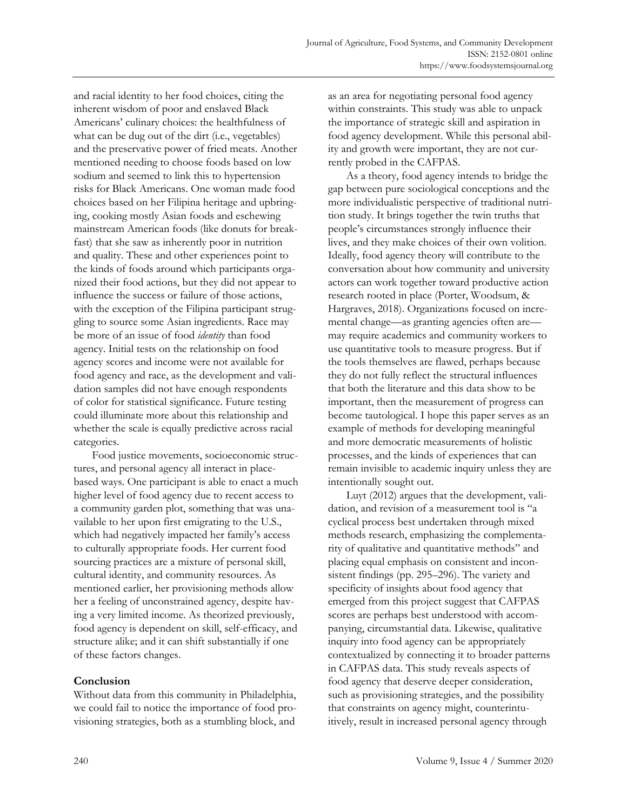and racial identity to her food choices, citing the inherent wisdom of poor and enslaved Black Americans' culinary choices: the healthfulness of what can be dug out of the dirt (i.e., vegetables) and the preservative power of fried meats. Another mentioned needing to choose foods based on low sodium and seemed to link this to hypertension risks for Black Americans. One woman made food choices based on her Filipina heritage and upbringing, cooking mostly Asian foods and eschewing mainstream American foods (like donuts for breakfast) that she saw as inherently poor in nutrition and quality. These and other experiences point to the kinds of foods around which participants organized their food actions, but they did not appear to influence the success or failure of those actions, with the exception of the Filipina participant struggling to source some Asian ingredients. Race may be more of an issue of food *identity* than food agency. Initial tests on the relationship on food agency scores and income were not available for food agency and race, as the development and validation samples did not have enough respondents of color for statistical significance. Future testing could illuminate more about this relationship and whether the scale is equally predictive across racial categories.

 Food justice movements, socioeconomic structures, and personal agency all interact in placebased ways. One participant is able to enact a much higher level of food agency due to recent access to a community garden plot, something that was unavailable to her upon first emigrating to the U.S., which had negatively impacted her family's access to culturally appropriate foods. Her current food sourcing practices are a mixture of personal skill, cultural identity, and community resources. As mentioned earlier, her provisioning methods allow her a feeling of unconstrained agency, despite having a very limited income. As theorized previously, food agency is dependent on skill, self-efficacy, and structure alike; and it can shift substantially if one of these factors changes.

#### **Conclusion**

Without data from this community in Philadelphia, we could fail to notice the importance of food provisioning strategies, both as a stumbling block, and as an area for negotiating personal food agency within constraints. This study was able to unpack the importance of strategic skill and aspiration in food agency development. While this personal ability and growth were important, they are not currently probed in the CAFPAS.

 As a theory, food agency intends to bridge the gap between pure sociological conceptions and the more individualistic perspective of traditional nutrition study. It brings together the twin truths that people's circumstances strongly influence their lives, and they make choices of their own volition. Ideally, food agency theory will contribute to the conversation about how community and university actors can work together toward productive action research rooted in place (Porter, Woodsum, & Hargraves, 2018). Organizations focused on incremental change—as granting agencies often are may require academics and community workers to use quantitative tools to measure progress. But if the tools themselves are flawed, perhaps because they do not fully reflect the structural influences that both the literature and this data show to be important, then the measurement of progress can become tautological. I hope this paper serves as an example of methods for developing meaningful and more democratic measurements of holistic processes, and the kinds of experiences that can remain invisible to academic inquiry unless they are intentionally sought out.

 Luyt (2012) argues that the development, validation, and revision of a measurement tool is "a cyclical process best undertaken through mixed methods research, emphasizing the complementarity of qualitative and quantitative methods" and placing equal emphasis on consistent and inconsistent findings (pp. 295–296). The variety and specificity of insights about food agency that emerged from this project suggest that CAFPAS scores are perhaps best understood with accompanying, circumstantial data. Likewise, qualitative inquiry into food agency can be appropriately contextualized by connecting it to broader patterns in CAFPAS data. This study reveals aspects of food agency that deserve deeper consideration, such as provisioning strategies, and the possibility that constraints on agency might, counterintuitively, result in increased personal agency through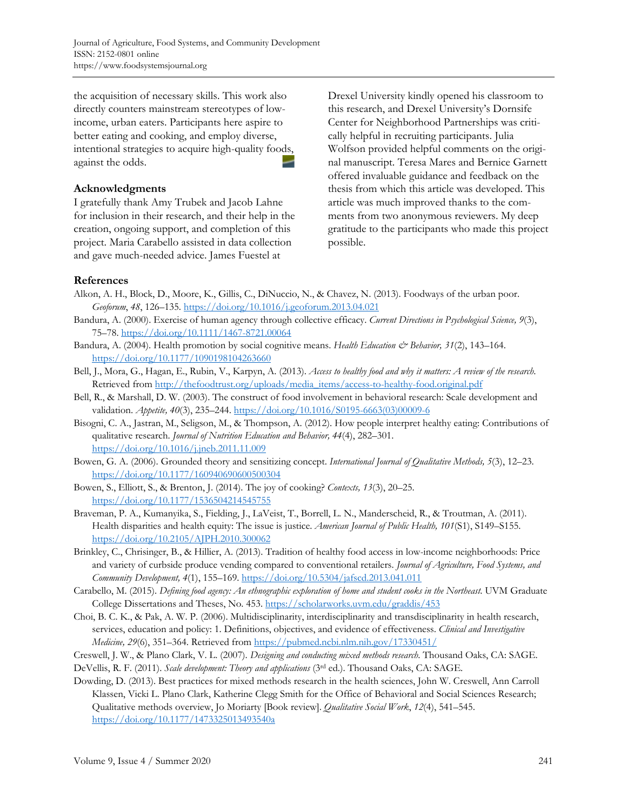the acquisition of necessary skills. This work also directly counters mainstream stereotypes of lowincome, urban eaters. Participants here aspire to better eating and cooking, and employ diverse, intentional strategies to acquire high-quality foods, against the odds.

## **Acknowledgments**

I gratefully thank Amy Trubek and Jacob Lahne for inclusion in their research, and their help in the creation, ongoing support, and completion of this project. Maria Carabello assisted in data collection and gave much-needed advice. James Fuestel at

Drexel University kindly opened his classroom to this research, and Drexel University's Dornsife Center for Neighborhood Partnerships was critically helpful in recruiting participants. Julia Wolfson provided helpful comments on the original manuscript. Teresa Mares and Bernice Garnett offered invaluable guidance and feedback on the thesis from which this article was developed. This article was much improved thanks to the comments from two anonymous reviewers. My deep gratitude to the participants who made this project possible.

## **References**

- Alkon, A. H., Block, D., Moore, K., Gillis, C., DiNuccio, N., & Chavez, N. (2013). Foodways of the urban poor. *Geoforum*, *48*, 126–135. https://doi.org/10.1016/j.geoforum.2013.04.021
- Bandura, A. (2000). Exercise of human agency through collective efficacy. *Current Directions in Psychological Science, 9*(3), 75–78. https://doi.org/10.1111/1467-8721.00064
- Bandura, A. (2004). Health promotion by social cognitive means. *Health Education & Behavior, 31*(2), 143–164. https://doi.org/10.1177/1090198104263660
- Bell, J., Mora, G., Hagan, E., Rubin, V., Karpyn, A. (2013). *Access to healthy food and why it matters: A review of the research*. Retrieved from http://thefoodtrust.org/uploads/media\_items/access-to-healthy-food.original.pdf
- Bell, R., & Marshall, D. W. (2003). The construct of food involvement in behavioral research: Scale development and validation. *Appetite, 40*(3), 235–244. [https://doi.org/10.1016/S0195-6663\(03\)00009-6](https://doi.org/10.1016/S0195-6663(03)00009-6)
- Bisogni, C. A., Jastran, M., Seligson, M., & Thompson, A. (2012). How people interpret healthy eating: Contributions of qualitative research. *Journal of Nutrition Education and Behavior, 44*(4), 282–301. https://doi.org/10.1016/j.jneb.2011.11.009
- Bowen, G. A. (2006). Grounded theory and sensitizing concept. *International Journal of Qualitative Methods, 5*(3), 12–23. https://doi.org/10.1177/160940690600500304
- Bowen, S., Elliott, S., & Brenton, J. (2014). The joy of cooking? *Contexts, 13*(3), 20–25. https://doi.org/10.1177/1536504214545755
- Braveman, P. A., Kumanyika, S., Fielding, J., LaVeist, T., Borrell, L. N., Manderscheid, R., & Troutman, A. (2011). Health disparities and health equity: The issue is justice. *American Journal of Public Health, 101*(S1), S149–S155. https://doi.org/10.2105/AJPH.2010.300062
- Brinkley, C., Chrisinger, B., & Hillier, A. (2013). Tradition of healthy food access in low-income neighborhoods: Price and variety of curbside produce vending compared to conventional retailers. *Journal of Agriculture, Food Systems, and Community Development, 4*(1), 155–169. https://doi.org/10.5304/jafscd.2013.041.011
- Carabello, M. (2015). *Defining food agency: An ethnographic exploration of home and student cooks in the Northeast*. UVM Graduate College Dissertations and Theses, No. 453. https://scholarworks.uvm.edu/graddis/453
- Choi, B. C. K., & Pak, A. W. P. (2006). Multidisciplinarity, interdisciplinarity and transdisciplinarity in health research, services, education and policy: 1. Definitions, objectives, and evidence of effectiveness. *Clinical and Investigative Medicine, 29*(6), 351–364. Retrieved from https://pubmed.ncbi.nlm.nih.gov/17330451/
- Creswell, J. W., & Plano Clark, V. L. (2007). *Designing and conducting mixed methods research*. Thousand Oaks, CA: SAGE.
- DeVellis, R. F. (2011). *Scale development: Theory and applications* (3rd ed.). Thousand Oaks, CA: SAGE.
- Dowding, D. (2013). Best practices for mixed methods research in the health sciences, John W. Creswell, Ann Carroll Klassen, Vicki L. Plano Clark, Katherine Clegg Smith for the Office of Behavioral and Social Sciences Research; Qualitative methods overview, Jo Moriarty [Book review]. *Qualitative Social Work*, *12*(4), 541–545. https://doi.org/10.1177/1473325013493540a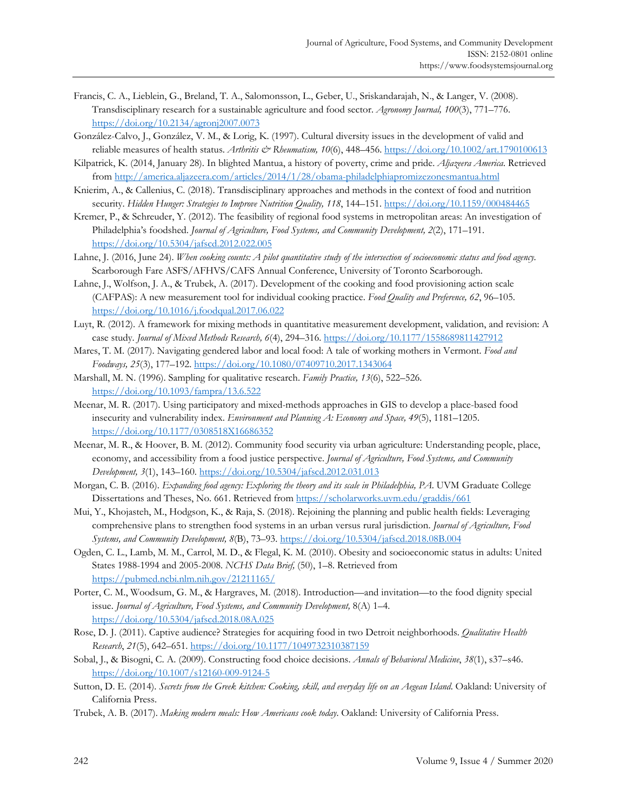- Francis, C. A., Lieblein, G., Breland, T. A., Salomonsson, L., Geber, U., Sriskandarajah, N., & Langer, V. (2008). Transdisciplinary research for a sustainable agriculture and food sector. *Agronomy Journal, 100*(3), 771–776. https://doi.org/10.2134/agronj2007.0073
- González-Calvo, J., González, V. M., & Lorig, K. (1997). Cultural diversity issues in the development of valid and reliable measures of health status. *Arthritis & Rheumatism*, 10(6), 448-456. https://doi.org/10.1002/art.1790100613
- Kilpatrick, K. (2014, January 28). In blighted Mantua, a history of poverty, crime and pride. *Aljazeera America*. Retrieved from http://america.aljazeera.com/articles/2014/1/28/obama-philadelphiapromizezonesmantua.html
- Knierim, A., & Callenius, C. (2018). Transdisciplinary approaches and methods in the context of food and nutrition security. *Hidden Hunger: Strategies to Improve Nutrition Quality, 118*, 144–151. https://doi.org/10.1159/000484465
- Kremer, P., & Schreuder, Y. (2012). The feasibility of regional food systems in metropolitan areas: An investigation of Philadelphia's foodshed. *Journal of Agriculture, Food Systems, and Community Development, 2*(2), 171–191. https://doi.org/10.5304/jafscd.2012.022.005
- Lahne, J. (2016, June 24). *When cooking counts: A pilot quantitative study of the intersection of socioeconomic status and food agency*. Scarborough Fare ASFS/AFHVS/CAFS Annual Conference, University of Toronto Scarborough.
- Lahne, J., Wolfson, J. A., & Trubek, A. (2017). Development of the cooking and food provisioning action scale (CAFPAS): A new measurement tool for individual cooking practice. *Food Quality and Preference, 62*, 96–105. https://doi.org/10.1016/j.foodqual.2017.06.022
- Luyt, R. (2012). A framework for mixing methods in quantitative measurement development, validation, and revision: A case study. *Journal of Mixed Methods Research, 6*(4), 294–316. https://doi.org/10.1177/1558689811427912
- Mares, T. M. (2017). Navigating gendered labor and local food: A tale of working mothers in Vermont. *Food and Foodways, 25*(3), 177–192. https://doi.org/10.1080/07409710.2017.1343064
- Marshall, M. N. (1996). Sampling for qualitative research. *Family Practice, 13*(6), 522–526. https://doi.org/10.1093/fampra/13.6.522
- Meenar, M. R. (2017). Using participatory and mixed-methods approaches in GIS to develop a place-based food insecurity and vulnerability index. *Environment and Planning A: Economy and Space, 49*(5), 1181–1205. https://doi.org/10.1177/0308518X16686352
- Meenar, M. R., & Hoover, B. M. (2012). Community food security via urban agriculture: Understanding people, place, economy, and accessibility from a food justice perspective. *Journal of Agriculture, Food Systems, and Community Development, 3*(1), 143–160. https://doi.org/10.5304/jafscd.2012.031.013
- Morgan, C. B. (2016). *Expanding food agency: Exploring the theory and its scale in Philadelphia, PA*. UVM Graduate College Dissertations and Theses, No. 661. Retrieved from https://scholarworks.uvm.edu/graddis/661
- Mui, Y., Khojasteh, M., Hodgson, K., & Raja, S. (2018). Rejoining the planning and public health fields: Leveraging comprehensive plans to strengthen food systems in an urban versus rural jurisdiction. *Journal of Agriculture, Food Systems, and Community Development, 8*(B), 73–93. https://doi.org/10.5304/jafscd.2018.08B.004
- Ogden, C. L., Lamb, M. M., Carrol, M. D., & Flegal, K. M. (2010). Obesity and socioeconomic status in adults: United States 1988-1994 and 2005-2008. *NCHS Data Brief,* (50), 1–8. Retrieved from https://pubmed.ncbi.nlm.nih.gov/21211165/
- Porter, C. M., Woodsum, G. M., & Hargraves, M. (2018). Introduction—and invitation—to the food dignity special issue. *Journal of Agriculture, Food Systems, and Community Development,* 8(A) 1–4. https://doi.org/10.5304/jafscd.2018.08A.025
- Rose, D. J. (2011). Captive audience? Strategies for acquiring food in two Detroit neighborhoods. *Qualitative Health Research*, *21*(5), 642–651. https://doi.org/10.1177/1049732310387159
- Sobal, J., & Bisogni, C. A. (2009). Constructing food choice decisions. *Annals of Behavioral Medicine*, *38*(1), s37–s46. https://doi.org/10.1007/s12160-009-9124-5
- Sutton, D. E. (2014). *Secrets from the Greek kitchen: Cooking, skill, and everyday life on an Aegean Island*. Oakland: University of California Press.
- Trubek, A. B. (2017). *Making modern meals: How Americans cook today*. Oakland: University of California Press.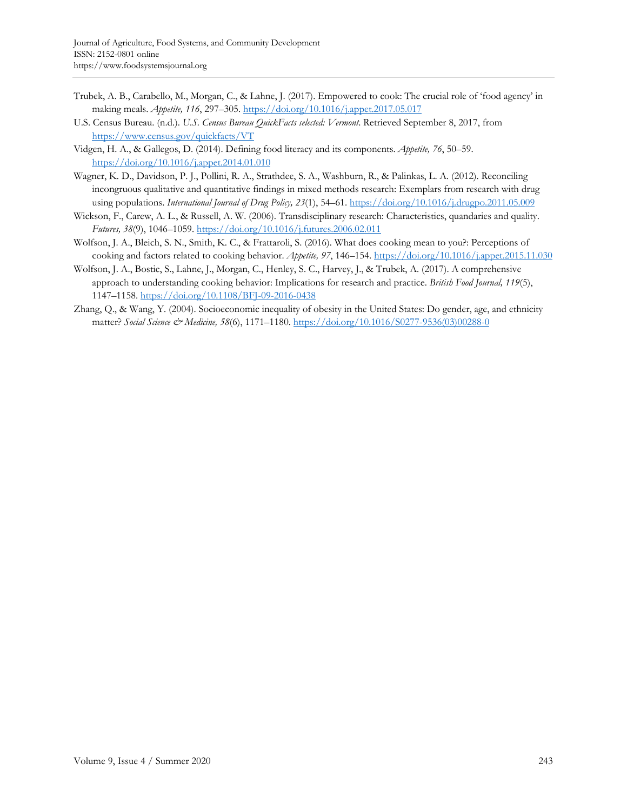- Trubek, A. B., Carabello, M., Morgan, C., & Lahne, J. (2017). Empowered to cook: The crucial role of 'food agency' in making meals. *Appetite, 116*, 297–305. https://doi.org/10.1016/j.appet.2017.05.017
- U.S. Census Bureau. (n.d.). *U.S. Census Bureau QuickFacts selected: Vermont*. Retrieved September 8, 2017, from https://www.census.gov/quickfacts/VT
- Vidgen, H. A., & Gallegos, D. (2014). Defining food literacy and its components. *Appetite, 76*, 50–59. https://doi.org/10.1016/j.appet.2014.01.010
- Wagner, K. D., Davidson, P. J., Pollini, R. A., Strathdee, S. A., Washburn, R., & Palinkas, L. A. (2012). Reconciling incongruous qualitative and quantitative findings in mixed methods research: Exemplars from research with drug using populations. *International Journal of Drug Policy, 23*(1), 54–61. https://doi.org/10.1016/j.drugpo.2011.05.009
- Wickson, F., Carew, A. L., & Russell, A. W. (2006). Transdisciplinary research: Characteristics, quandaries and quality. *Futures, 38*(9), 1046–1059. https://doi.org/10.1016/j.futures.2006.02.011
- Wolfson, J. A., Bleich, S. N., Smith, K. C., & Frattaroli, S. (2016). What does cooking mean to you?: Perceptions of cooking and factors related to cooking behavior. *Appetite, 97*, 146–154. https://doi.org/10.1016/j.appet.2015.11.030
- Wolfson, J. A., Bostic, S., Lahne, J., Morgan, C., Henley, S. C., Harvey, J., & Trubek, A. (2017). A comprehensive approach to understanding cooking behavior: Implications for research and practice. *British Food Journal, 119*(5), 1147–1158. https://doi.org/10.1108/BFJ-09-2016-0438
- Zhang, Q., & Wang, Y. (2004). Socioeconomic inequality of obesity in the United States: Do gender, age, and ethnicity matter? *Social Science & Medicine, 58*(6), 1171–1180. [https://doi.org/10.1016/S0277-9536\(03\)00288-0](https://doi.org/10.1016/S0277-9536(03)00288-0)